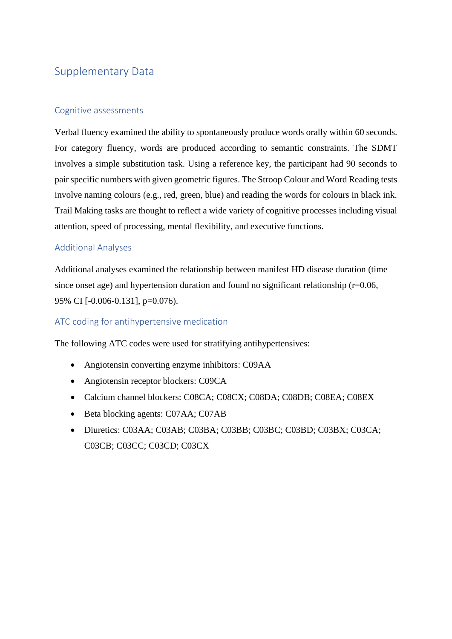## Supplementary Data

## Cognitive assessments

Verbal fluency examined the ability to spontaneously produce words orally within 60 seconds. For category fluency, words are produced according to semantic constraints. The SDMT involves a simple substitution task. Using a reference key, the participant had 90 seconds to pair specific numbers with given geometric figures. The Stroop Colour and Word Reading tests involve naming colours (e.g., red, green, blue) and reading the words for colours in black ink. Trail Making tasks are thought to reflect a wide variety of cognitive processes including visual attention, speed of processing, mental flexibility, and executive functions.

## Additional Analyses

Additional analyses examined the relationship between manifest HD disease duration (time since onset age) and hypertension duration and found no significant relationship  $(r=0.06,$ 95% CI [-0.006-0.131], p=0.076).

## ATC coding for antihypertensive medication

The following ATC codes were used for stratifying antihypertensives:

- Angiotensin converting enzyme inhibitors: C09AA
- Angiotensin receptor blockers: C09CA
- Calcium channel blockers: C08CA; C08CX; C08DA; C08DB; C08EA; C08EX
- Beta blocking agents: C07AA; C07AB
- Diuretics: C03AA; C03AB; C03BA; C03BB; C03BC; C03BD; C03BX; C03CA; C03CB; C03CC; C03CD; C03CX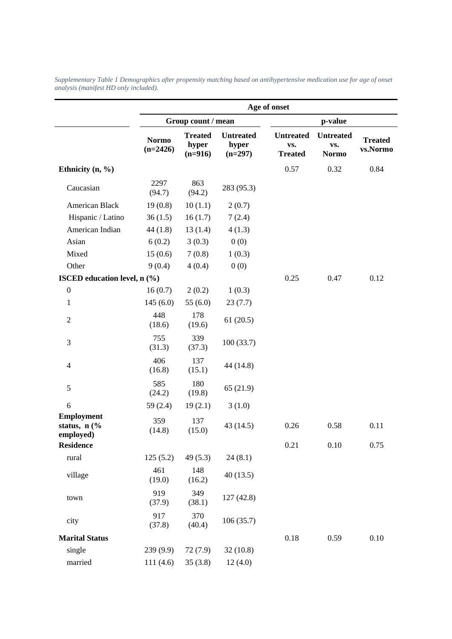|                                                  | Age of onset               |                                      |                                        |                                           |                                         |                            |
|--------------------------------------------------|----------------------------|--------------------------------------|----------------------------------------|-------------------------------------------|-----------------------------------------|----------------------------|
|                                                  |                            | Group count / mean                   |                                        | p-value                                   |                                         |                            |
|                                                  | <b>Normo</b><br>$(n=2426)$ | <b>Treated</b><br>hyper<br>$(n=916)$ | <b>Untreated</b><br>hyper<br>$(n=297)$ | <b>Untreated</b><br>VS.<br><b>Treated</b> | <b>Untreated</b><br>VS.<br><b>Normo</b> | <b>Treated</b><br>vs.Normo |
| Ethnicity $(n, %)$                               |                            |                                      |                                        | 0.57                                      | 0.32                                    | 0.84                       |
| Caucasian                                        | 2297<br>(94.7)             | 863<br>(94.2)                        | 283 (95.3)                             |                                           |                                         |                            |
| <b>American Black</b>                            | 19(0.8)                    | 10(1.1)                              | 2(0.7)                                 |                                           |                                         |                            |
| Hispanic / Latino                                | 36(1.5)                    | 16(1.7)                              | 7(2.4)                                 |                                           |                                         |                            |
| American Indian                                  | 44(1.8)                    | 13(1.4)                              | 4(1.3)                                 |                                           |                                         |                            |
| Asian                                            | 6(0.2)                     | 3(0.3)                               | 0(0)                                   |                                           |                                         |                            |
| Mixed                                            | 15(0.6)                    | 7(0.8)                               | 1(0.3)                                 |                                           |                                         |                            |
| Other                                            | 9(0.4)                     | 4(0.4)                               | 0(0)                                   |                                           |                                         |                            |
| ISCED education level, n (%)                     |                            |                                      |                                        | 0.25                                      | 0.47                                    | 0.12                       |
| $\boldsymbol{0}$                                 | 16(0.7)                    | 2(0.2)                               | 1(0.3)                                 |                                           |                                         |                            |
| 1                                                | 145(6.0)                   | 55 $(6.0)$                           | 23(7.7)                                |                                           |                                         |                            |
| $\sqrt{2}$                                       | 448<br>(18.6)              | 178<br>(19.6)                        | 61(20.5)                               |                                           |                                         |                            |
| 3                                                | 755<br>(31.3)              | 339<br>(37.3)                        | 100(33.7)                              |                                           |                                         |                            |
| 4                                                | 406<br>(16.8)              | 137<br>(15.1)                        | 44 (14.8)                              |                                           |                                         |                            |
| 5                                                | 585<br>(24.2)              | 180<br>(19.8)                        | 65 (21.9)                              |                                           |                                         |                            |
| 6                                                | 59 $(2.4)$                 | 19(2.1)                              | 3(1.0)                                 |                                           |                                         |                            |
| <b>Employment</b><br>status, $n$ (%<br>employed) | 359<br>(14.8)              | 137<br>(15.0)                        | 43 (14.5)                              | 0.26                                      | 0.58                                    | 0.11                       |
| <b>Residence</b>                                 |                            |                                      |                                        | 0.21                                      | 0.10                                    | 0.75                       |
| rural                                            | 125(5.2)                   | 49(5.3)                              | 24(8.1)                                |                                           |                                         |                            |
| village                                          | 461<br>(19.0)              | 148<br>(16.2)                        | 40(13.5)                               |                                           |                                         |                            |
| town                                             | 919<br>(37.9)              | 349<br>(38.1)                        | 127(42.8)                              |                                           |                                         |                            |
| city                                             | 917<br>(37.8)              | 370<br>(40.4)                        | 106(35.7)                              |                                           |                                         |                            |
| <b>Marital Status</b>                            |                            |                                      |                                        | 0.18                                      | 0.59                                    | 0.10                       |
| single                                           | 239(9.9)                   | 72(7.9)                              | 32(10.8)                               |                                           |                                         |                            |
| married                                          | 111(4.6)                   | 35(3.8)                              | 12(4.0)                                |                                           |                                         |                            |

*Supplementary Table 1 Demographics after propensity matching based on antihypertensive medication use for age of onset analysis (manifest HD only included).*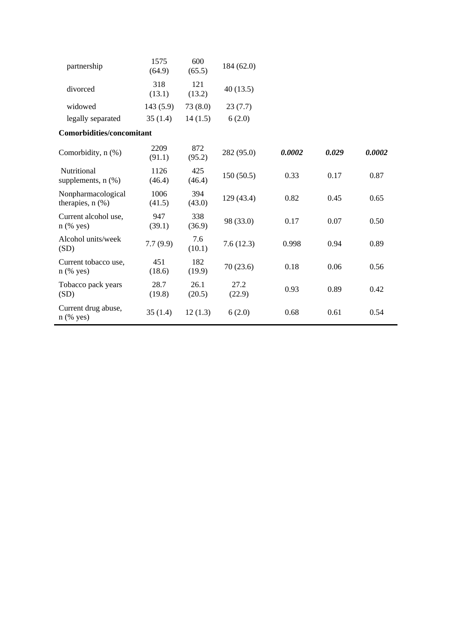| partnership                                 | 1575<br>(64.9) | 600<br>(65.5)  | 184 (62.0)     |        |       |        |
|---------------------------------------------|----------------|----------------|----------------|--------|-------|--------|
| divorced                                    | 318<br>(13.1)  | 121<br>(13.2)  | 40(13.5)       |        |       |        |
| widowed                                     | 143(5.9)       | 73(8.0)        | 23(7.7)        |        |       |        |
| legally separated                           | 35(1.4)        | 14(1.5)        | 6(2.0)         |        |       |        |
| <b>Comorbidities/concomitant</b>            |                |                |                |        |       |        |
| Comorbidity, n (%)                          | 2209<br>(91.1) | 872<br>(95.2)  | 282 (95.0)     | 0.0002 | 0.029 | 0.0002 |
| Nutritional<br>supplements, $n$ $(\%)$      | 1126<br>(46.4) | 425<br>(46.4)  | 150(50.5)      | 0.33   | 0.17  | 0.87   |
| Nonpharmacological<br>therapies, $n$ $(\%)$ | 1006<br>(41.5) | 394<br>(43.0)  | 129 (43.4)     | 0.82   | 0.45  | 0.65   |
| Current alcohol use,<br>$n$ (% yes)         | 947<br>(39.1)  | 338<br>(36.9)  | 98 (33.0)      | 0.17   | 0.07  | 0.50   |
| Alcohol units/week<br>(SD)                  | 7.7(9.9)       | 7.6<br>(10.1)  | 7.6(12.3)      | 0.998  | 0.94  | 0.89   |
| Current tobacco use,<br>$n$ (% yes)         | 451<br>(18.6)  | 182<br>(19.9)  | 70(23.6)       | 0.18   | 0.06  | 0.56   |
| Tobacco pack years<br>(SD)                  | 28.7<br>(19.8) | 26.1<br>(20.5) | 27.2<br>(22.9) | 0.93   | 0.89  | 0.42   |
| Current drug abuse,<br>$n$ (% yes)          | 35(1.4)        | 12(1.3)        | 6(2.0)         | 0.68   | 0.61  | 0.54   |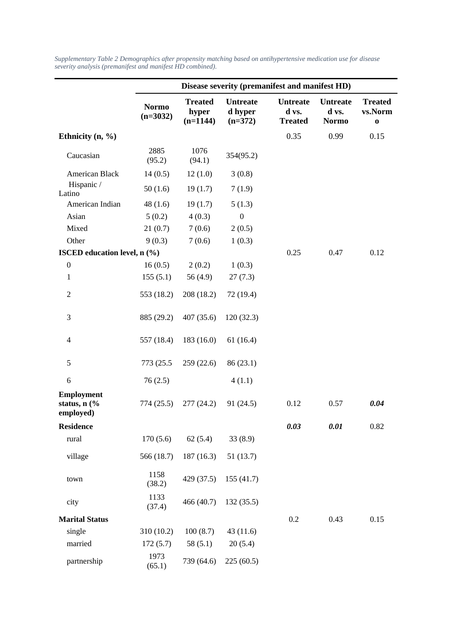|                                                | Disease severity (premanifest and manifest HD) |                                       |                                         |                                            |                                          |                                          |  |
|------------------------------------------------|------------------------------------------------|---------------------------------------|-----------------------------------------|--------------------------------------------|------------------------------------------|------------------------------------------|--|
|                                                | <b>Normo</b><br>$(n=3032)$                     | <b>Treated</b><br>hyper<br>$(n=1144)$ | <b>Untreate</b><br>d hyper<br>$(n=372)$ | <b>Untreate</b><br>d vs.<br><b>Treated</b> | <b>Untreate</b><br>d vs.<br><b>Normo</b> | <b>Treated</b><br>vs.Norm<br>$\mathbf 0$ |  |
| Ethnicity $(n, %)$                             |                                                |                                       |                                         | 0.35                                       | 0.99                                     | 0.15                                     |  |
| Caucasian                                      | 2885<br>(95.2)                                 | 1076<br>(94.1)                        | 354(95.2)                               |                                            |                                          |                                          |  |
| American Black                                 | 14(0.5)                                        | 12(1.0)                               | 3(0.8)                                  |                                            |                                          |                                          |  |
| Hispanic /<br>Latino                           | 50(1.6)                                        | 19(1.7)                               | 7(1.9)                                  |                                            |                                          |                                          |  |
| American Indian                                | 48(1.6)                                        | 19(1.7)                               | 5(1.3)                                  |                                            |                                          |                                          |  |
| Asian                                          | 5(0.2)                                         | 4(0.3)                                | $\boldsymbol{0}$                        |                                            |                                          |                                          |  |
| Mixed                                          | 21(0.7)                                        | 7(0.6)                                | 2(0.5)                                  |                                            |                                          |                                          |  |
| Other                                          | 9(0.3)                                         | 7(0.6)                                | 1(0.3)                                  |                                            |                                          |                                          |  |
| ISCED education level, n (%)                   |                                                |                                       |                                         | 0.25                                       | 0.47                                     | 0.12                                     |  |
| $\boldsymbol{0}$                               | 16(0.5)                                        | 2(0.2)                                | 1(0.3)                                  |                                            |                                          |                                          |  |
| $\mathbf{1}$                                   | 155(5.1)                                       | 56 $(4.9)$                            | 27(7.3)                                 |                                            |                                          |                                          |  |
| $\overline{2}$                                 | 553 (18.2)                                     | 208 (18.2)                            | 72 (19.4)                               |                                            |                                          |                                          |  |
| 3                                              | 885 (29.2)                                     | 407(35.6)                             | 120(32.3)                               |                                            |                                          |                                          |  |
| 4                                              | 557 (18.4)                                     | 183 (16.0)                            | 61(16.4)                                |                                            |                                          |                                          |  |
| 5                                              | 773 (25.5)                                     | 259(22.6)                             | 86(23.1)                                |                                            |                                          |                                          |  |
| 6                                              | 76(2.5)                                        |                                       | 4(1.1)                                  |                                            |                                          |                                          |  |
| <b>Employment</b><br>status, n (%<br>employed) | 774(25.5)                                      | 277(24.2)                             | 91(24.5)                                | 0.12                                       | 0.57                                     | 0.04                                     |  |
| <b>Residence</b>                               |                                                |                                       |                                         | 0.03                                       | 0.01                                     | 0.82                                     |  |
| rural                                          | 170(5.6)                                       | 62(5.4)                               | 33(8.9)                                 |                                            |                                          |                                          |  |
| village                                        | 566 (18.7)                                     | 187(16.3)                             | 51(13.7)                                |                                            |                                          |                                          |  |
| town                                           | 1158<br>(38.2)                                 | 429 (37.5)                            | 155(41.7)                               |                                            |                                          |                                          |  |
| city                                           | 1133<br>(37.4)                                 | 466 (40.7)                            | 132(35.5)                               |                                            |                                          |                                          |  |
| <b>Marital Status</b>                          |                                                |                                       |                                         | 0.2                                        | 0.43                                     | 0.15                                     |  |
| single                                         | 310 (10.2)                                     | 100(8.7)                              | 43(11.6)                                |                                            |                                          |                                          |  |
| married                                        | 172(5.7)                                       | 58(5.1)                               | 20(5.4)                                 |                                            |                                          |                                          |  |
| partnership                                    | 1973<br>(65.1)                                 | 739 (64.6)                            | 225(60.5)                               |                                            |                                          |                                          |  |

*Supplementary Table 2 Demographics after propensity matching based on antihypertensive medication use for disease severity analysis (premanifest and manifest HD combined).*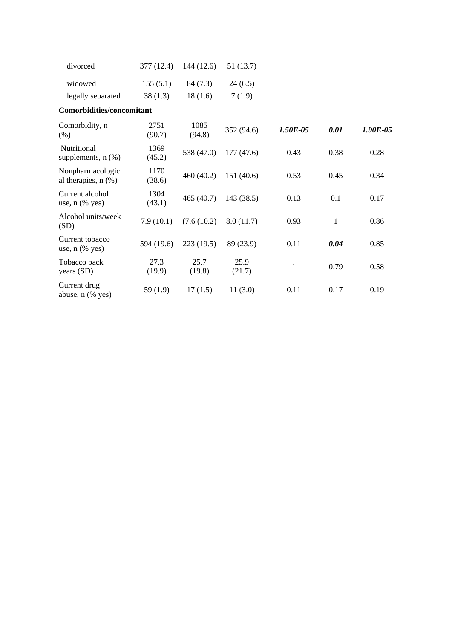| divorced                                     | 377 (12.4)     | 144(12.6)      | 51(13.7)       |              |              |          |
|----------------------------------------------|----------------|----------------|----------------|--------------|--------------|----------|
| widowed                                      | 155(5.1)       | 84 (7.3)       | 24(6.5)        |              |              |          |
| legally separated                            | 38(1.3)        | 18(1.6)        | 7(1.9)         |              |              |          |
| <b>Comorbidities/concomitant</b>             |                |                |                |              |              |          |
| Comorbidity, n<br>(% )                       | 2751<br>(90.7) | 1085<br>(94.8) | 352 (94.6)     | 1.50E-05     | 0.01         | 1.90E-05 |
| Nutritional<br>supplements, $n$ $(\%)$       | 1369<br>(45.2) | 538 (47.0)     | 177(47.6)      | 0.43         | 0.38         | 0.28     |
| Nonpharmacologic<br>al therapies, $n$ $(\%)$ | 1170<br>(38.6) | 460(40.2)      | 151 (40.6)     | 0.53         | 0.45         | 0.34     |
| Current alcohol<br>use, $n$ (% yes)          | 1304<br>(43.1) | 465(40.7)      | 143 (38.5)     | 0.13         | 0.1          | 0.17     |
| Alcohol units/week<br>(SD)                   | 7.9(10.1)      | (7.6(10.2))    | 8.0(11.7)      | 0.93         | $\mathbf{1}$ | 0.86     |
| Current tobacco<br>use, $n$ (% yes)          | 594 (19.6)     | 223(19.5)      | 89 (23.9)      | 0.11         | 0.04         | 0.85     |
| Tobacco pack<br>years (SD)                   | 27.3<br>(19.9) | 25.7<br>(19.8) | 25.9<br>(21.7) | $\mathbf{1}$ | 0.79         | 0.58     |
| Current drug<br>abuse, $n$ (% yes)           | 59 $(1.9)$     | 17(1.5)        | 11(3.0)        | 0.11         | 0.17         | 0.19     |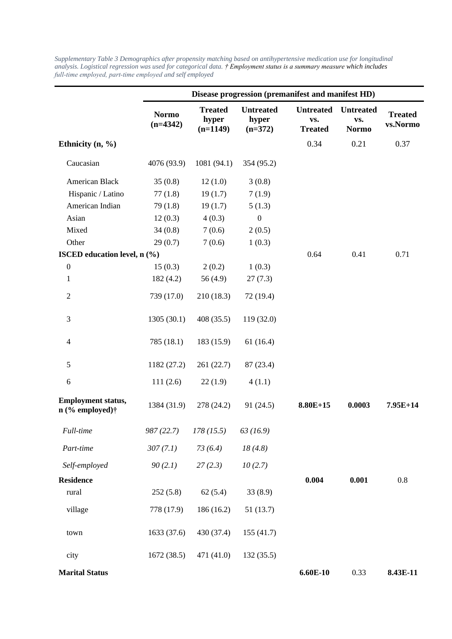**Disease progression (premanifest and manifest HD) Normo (n=4342) Treated hyper (n=1149) Untreated hyper (n=372) Untreated vs. Treated Untreated vs. Normo Treated vs.Normo Ethnicity (n, %)** 0.34 0.21 0.37 Caucasian 4076 (93.9) 1081 (94.1) 354 (95.2) American Black 35 (0.8) 12 (1.0) 3 (0.8) Hispanic / Latino 77 (1.8) 19 (1.7) 7 (1.9) American Indian 79 (1.8) 19 (1.7) 5 (1.3) Asian 12 (0.3) 4 (0.3) 0 Mixed  $34 (0.8)$   $7 (0.6)$   $2 (0.5)$ Other 29 (0.7) 7 (0.6) 1 (0.3) **ISCED education level, n (%)** 0.64 0.41 0.71 0.71 0 15 (0.3) 2 (0.2) 1 (0.3) 1 182 (4.2) 56 (4.9) 27 (7.3) 2 739 (17.0) 210 (18.3) 72 (19.4) 3 1305 (30.1) 408 (35.5) 119 (32.0) 4 785 (18.1) 183 (15.9) 61 (16.4) 5 1182 (27.2) 261 (22.7) 87 (23.4) 6 111 (2.6) 22 (1.9) 4 (1.1) **Employment status, n (% employed)†** 1384 (31.9) 278 (24.2) 91 (24.5) **8.80E+15 0.0003 7.95E+14**  *Full-time 987 (22.7) 178 (15.5) 63 (16.9) Part-time 307 (7.1) 73 (6.4) 18 (4.8) Self-employed 90 (2.1) 27 (2.3) 10 (2.7)* **Residence** 0.004 0.001 0.8 rural 252 (5.8) 62 (5.4) 33 (8.9) village 778 (17.9) 186 (16.2) 51 (13.7) town 1633 (37.6) 430 (37.4) 155 (41.7) city 1672 (38.5) 471 (41.0) 132 (35.5) **Marital Status 6.60E-10** 0.33 **8.43E-11**

*Supplementary Table 3 Demographics after propensity matching based on antihypertensive medication use for longitudinal analysis. Logistical regression was used for categorical data. † Employment status is a summary measure which includes full‐time employed, part‐time employed and self employed*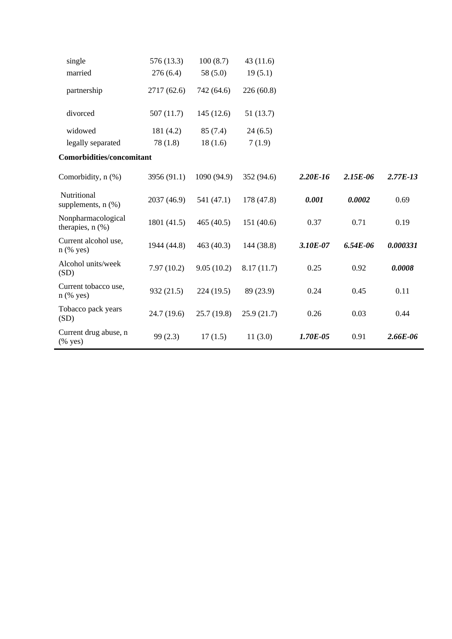| single                                      | 576 (13.3)  | 100(8.7)    | 43(11.6)   |            |          |              |
|---------------------------------------------|-------------|-------------|------------|------------|----------|--------------|
| married                                     | 276(6.4)    | 58(5.0)     | 19(5.1)    |            |          |              |
| partnership                                 | 2717 (62.6) | 742 (64.6)  | 226(60.8)  |            |          |              |
| divorced                                    | 507(11.7)   | 145(12.6)   | 51(13.7)   |            |          |              |
| widowed                                     | 181 (4.2)   | 85(7.4)     | 24(6.5)    |            |          |              |
| legally separated                           | 78(1.8)     | 18(1.6)     | 7(1.9)     |            |          |              |
| <b>Comorbidities/concomitant</b>            |             |             |            |            |          |              |
| Comorbidity, n (%)                          | 3956 (91.1) | 1090 (94.9) | 352 (94.6) | $2.20E-16$ | 2.15E-06 | $2.77E-13$   |
| Nutritional<br>supplements, $n$ $(\%)$      | 2037 (46.9) | 541 (47.1)  | 178 (47.8) | 0.001      | 0.0002   | 0.69         |
| Nonpharmacological<br>therapies, $n$ $(\%)$ | 1801 (41.5) | 465(40.5)   | 151(40.6)  | 0.37       | 0.71     | 0.19         |
| Current alcohol use,<br>$n$ (% yes)         | 1944 (44.8) | 463 (40.3)  | 144 (38.8) | 3.10E-07   | 6.54E-06 | 0.000331     |
| Alcohol units/week<br>(SD)                  | 7.97(10.2)  | 9.05(10.2)  | 8.17(11.7) | 0.25       | 0.92     | 0.0008       |
| Current tobacco use,<br>$n$ (% yes)         | 932(21.5)   | 224 (19.5)  | 89 (23.9)  | 0.24       | 0.45     | 0.11         |
| Tobacco pack years<br>(SD)                  | 24.7 (19.6) | 25.7(19.8)  | 25.9(21.7) | 0.26       | 0.03     | 0.44         |
| Current drug abuse, n<br>$(%$ (% yes)       | 99(2.3)     | 17(1.5)     | 11(3.0)    | 1.70E-05   | 0.91     | $2.66E - 06$ |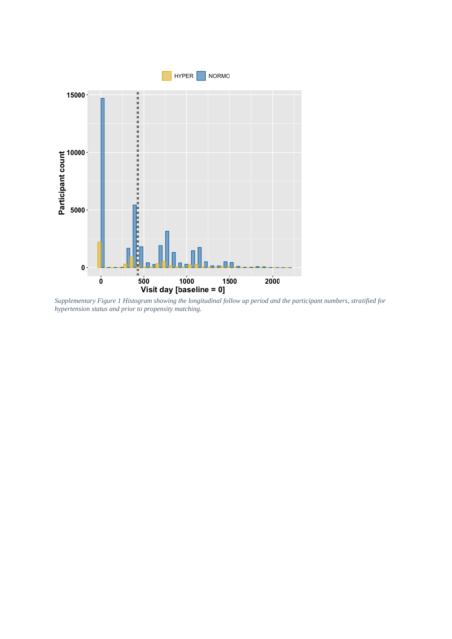

*Supplementary Figure 1 Histogram showing the longitudinal follow up period and the participant numbers, stratified for hypertension status and prior to propensity matching.*